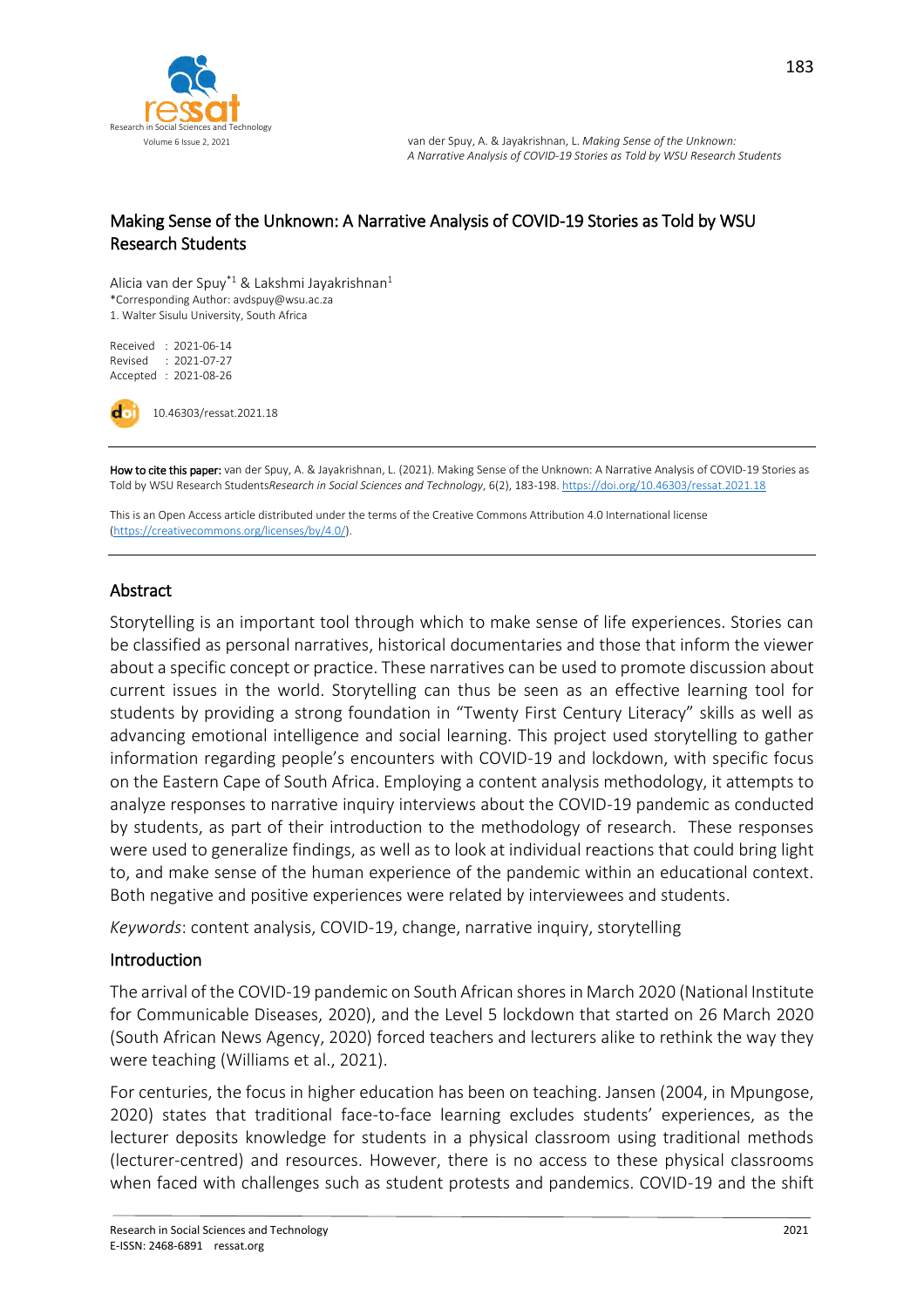

### Making Sense of the Unknown: A Narrative Analysis of COVID-19 Stories as Told by WSU Research Students

Alicia van der Spuy\*1 & Lakshmi Jayakrishnan<sup>1</sup> \*Corresponding Author: avdspuy@wsu.ac.za 1. Walter Sisulu University, South Africa

Received : 2021-06-14 Revised : 2021-07-27 Accepted : 2021-08-26

do 10.46303/ressat.2021.18

How to cite this paper: van der Spuy, A. & Jayakrishnan, L. (2021). Making Sense of the Unknown: A Narrative Analysis of COVID-19 Stories as Told by WSU Research Students*Research in Social Sciences and Technology*, 6(2), 183-198. <https://doi.org/10.46303/ressat.2021.18>

This is an Open Access article distributed under the terms of the Creative Commons Attribution 4.0 International license [\(https://creativecommons.org/licenses/by/4.0/\).](https://creativecommons.org/licenses/by/4.0/)

#### Abstract

Storytelling is an important tool through which to make sense of life experiences. Stories can be classified as personal narratives, historical documentaries and those that inform the viewer about a specific concept or practice. These narratives can be used to promote discussion about current issues in the world. Storytelling can thus be seen as an effective learning tool for students by providing a strong foundation in "Twenty First Century Literacy" skills as well as advancing emotional intelligence and social learning. This project used storytelling to gather information regarding people's encounters with COVID-19 and lockdown, with specific focus on the Eastern Cape of South Africa. Employing a content analysis methodology, it attempts to analyze responses to narrative inquiry interviews about the COVID-19 pandemic as conducted by students, as part of their introduction to the methodology of research. These responses were used to generalize findings, as well as to look at individual reactions that could bring light to, and make sense of the human experience of the pandemic within an educational context. Both negative and positive experiences were related by interviewees and students.

*Keywords*: content analysis, COVID-19, change, narrative inquiry, storytelling

#### Introduction

The arrival of the COVID-19 pandemic on South African shores in March 2020 (National Institute for Communicable Diseases, 2020), and the Level 5 lockdown that started on 26 March 2020 (South African News Agency, 2020) forced teachers and lecturers alike to rethink the way they were teaching (Williams et al., 2021).

For centuries, the focus in higher education has been on teaching. Jansen (2004, in Mpungose, 2020) states that traditional face-to-face learning excludes students' experiences, as the lecturer deposits knowledge for students in a physical classroom using traditional methods (lecturer-centred) and resources. However, there is no access to these physical classrooms when faced with challenges such as student protests and pandemics. COVID-19 and the shift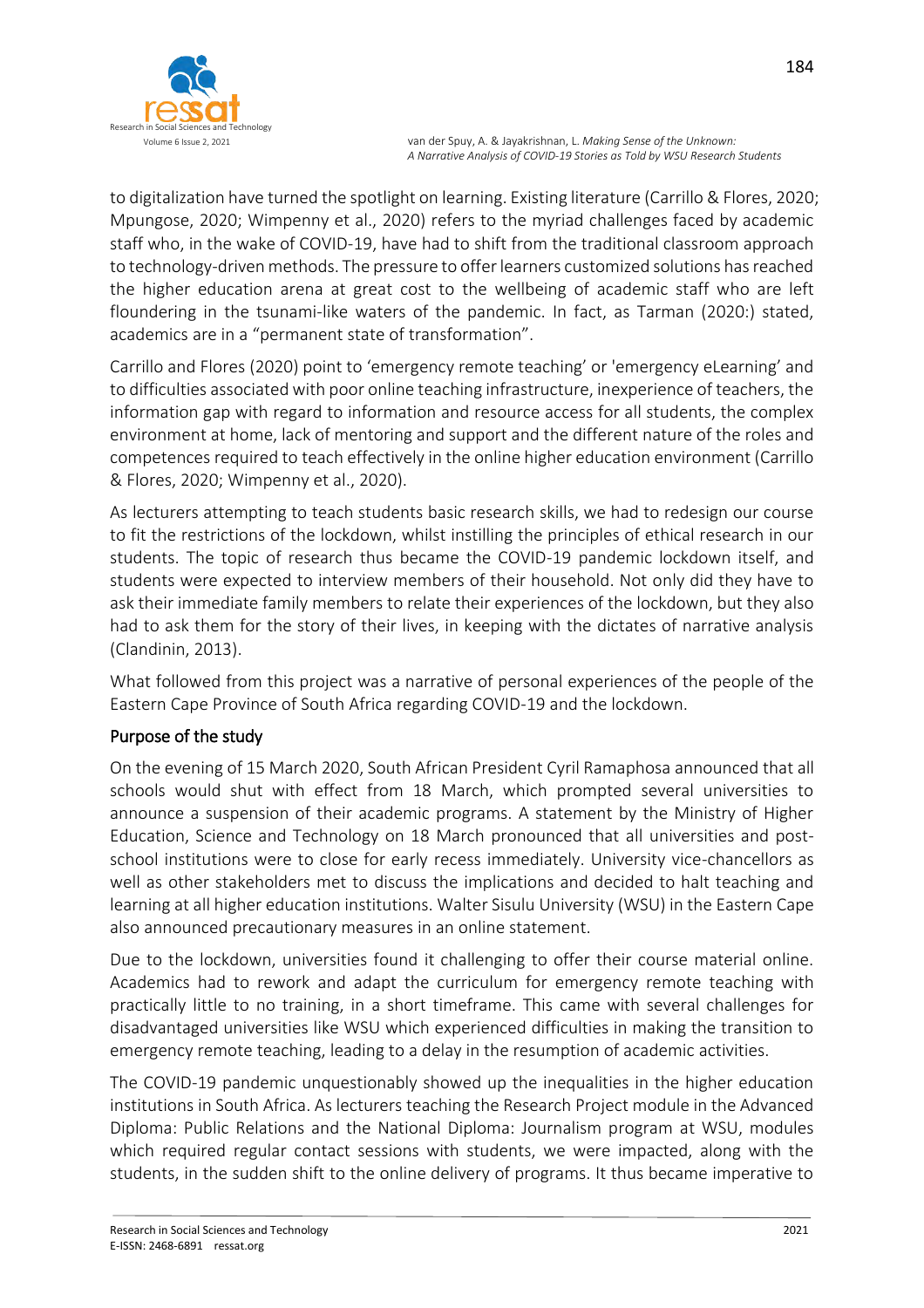

to digitalization have turned the spotlight on learning. Existing literature (Carrillo & Flores, 2020; Mpungose, 2020; Wimpenny et al., 2020) refers to the myriad challenges faced by academic staff who, in the wake of COVID-19, have had to shift from the traditional classroom approach to technology-driven methods. The pressure to offer learners customized solutions has reached the higher education arena at great cost to the wellbeing of academic staff who are left floundering in the tsunami-like waters of the pandemic. In fact, as Tarman (2020:) stated, academics are in a "permanent state of transformation".

Carrillo and Flores (2020) point to 'emergency remote teaching' or 'emergency eLearning' and to difficulties associated with poor online teaching infrastructure, inexperience of teachers, the information gap with regard to information and resource access for all students, the complex environment at home, lack of mentoring and support and the different nature of the roles and competences required to teach effectively in the online higher education environment (Carrillo & Flores, 2020; Wimpenny et al., 2020).

As lecturers attempting to teach students basic research skills, we had to redesign our course to fit the restrictions of the lockdown, whilst instilling the principles of ethical research in our students. The topic of research thus became the COVID-19 pandemic lockdown itself, and students were expected to interview members of their household. Not only did they have to ask their immediate family members to relate their experiences of the lockdown, but they also had to ask them for the story of their lives, in keeping with the dictates of narrative analysis (Clandinin, 2013).

What followed from this project was a narrative of personal experiences of the people of the Eastern Cape Province of South Africa regarding COVID-19 and the lockdown.

# Purpose of the study

On the evening of 15 March 2020, South African President Cyril Ramaphosa announced that all schools would shut with effect from 18 March, which prompted several universities to announce a suspension of their academic programs. A statement by the Ministry of Higher Education, Science and Technology on 18 March pronounced that all universities and postschool institutions were to close for early recess immediately. University vice-chancellors as well as other stakeholders met to discuss the implications and decided to halt teaching and learning at all higher education institutions. Walter Sisulu University (WSU) in the Eastern Cape also announced precautionary measures in an online statement.

Due to the lockdown, universities found it challenging to offer their course material online. Academics had to rework and adapt the curriculum for emergency remote teaching with practically little to no training, in a short timeframe. This came with several challenges for disadvantaged universities like WSU which experienced difficulties in making the transition to emergency remote teaching, leading to a delay in the resumption of academic activities.

The COVID-19 pandemic unquestionably showed up the inequalities in the higher education institutions in South Africa. As lecturers teaching the Research Project module in the Advanced Diploma: Public Relations and the National Diploma: Journalism program at WSU, modules which required regular contact sessions with students, we were impacted, along with the students, in the sudden shift to the online delivery of programs. It thus became imperative to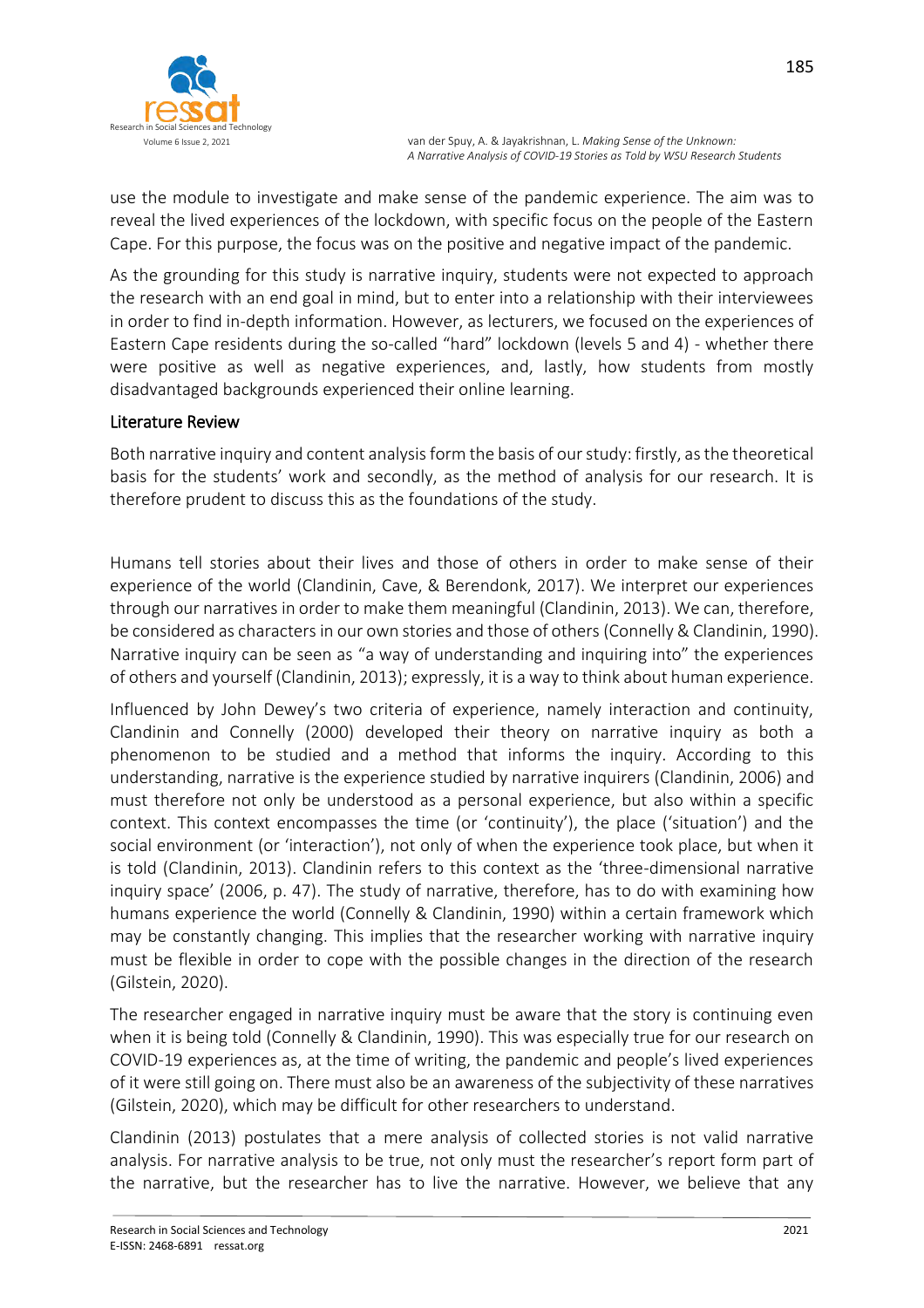

use the module to investigate and make sense of the pandemic experience. The aim was to reveal the lived experiences of the lockdown, with specific focus on the people of the Eastern Cape. For this purpose, the focus was on the positive and negative impact of the pandemic.

As the grounding for this study is narrative inquiry, students were not expected to approach the research with an end goal in mind, but to enter into a relationship with their interviewees in order to find in-depth information. However, as lecturers, we focused on the experiences of Eastern Cape residents during the so-called "hard" lockdown (levels 5 and 4) - whether there were positive as well as negative experiences, and, lastly, how students from mostly disadvantaged backgrounds experienced their online learning.

## Literature Review

Both narrative inquiry and content analysis form the basis of our study: firstly, as the theoretical basis for the students' work and secondly, as the method of analysis for our research. It is therefore prudent to discuss this as the foundations of the study.

Humans tell stories about their lives and those of others in order to make sense of their experience of the world (Clandinin, Cave, & Berendonk, 2017). We interpret our experiences through our narratives in order to make them meaningful (Clandinin, 2013). We can, therefore, be considered as characters in our own stories and those of others (Connelly & Clandinin, 1990). Narrative inquiry can be seen as "a way of understanding and inquiring into" the experiences of others and yourself (Clandinin, 2013); expressly, it is a way to think about human experience.

Influenced by John Dewey's two criteria of experience, namely interaction and continuity, Clandinin and Connelly (2000) developed their theory on narrative inquiry as both a phenomenon to be studied and a method that informs the inquiry. According to this understanding, narrative is the experience studied by narrative inquirers (Clandinin, 2006) and must therefore not only be understood as a personal experience, but also within a specific context. This context encompasses the time (or 'continuity'), the place ('situation') and the social environment (or 'interaction'), not only of when the experience took place, but when it is told (Clandinin, 2013). Clandinin refers to this context as the 'three-dimensional narrative inquiry space' (2006, p. 47). The study of narrative, therefore, has to do with examining how humans experience the world (Connelly & Clandinin, 1990) within a certain framework which may be constantly changing. This implies that the researcher working with narrative inquiry must be flexible in order to cope with the possible changes in the direction of the research (Gilstein, 2020).

The researcher engaged in narrative inquiry must be aware that the story is continuing even when it is being told (Connelly & Clandinin, 1990). This was especially true for our research on COVID-19 experiences as, at the time of writing, the pandemic and people's lived experiences of it were still going on. There must also be an awareness of the subjectivity of these narratives (Gilstein, 2020), which may be difficult for other researchers to understand.

Clandinin (2013) postulates that a mere analysis of collected stories is not valid narrative analysis. For narrative analysis to be true, not only must the researcher's report form part of the narrative, but the researcher has to live the narrative. However, we believe that any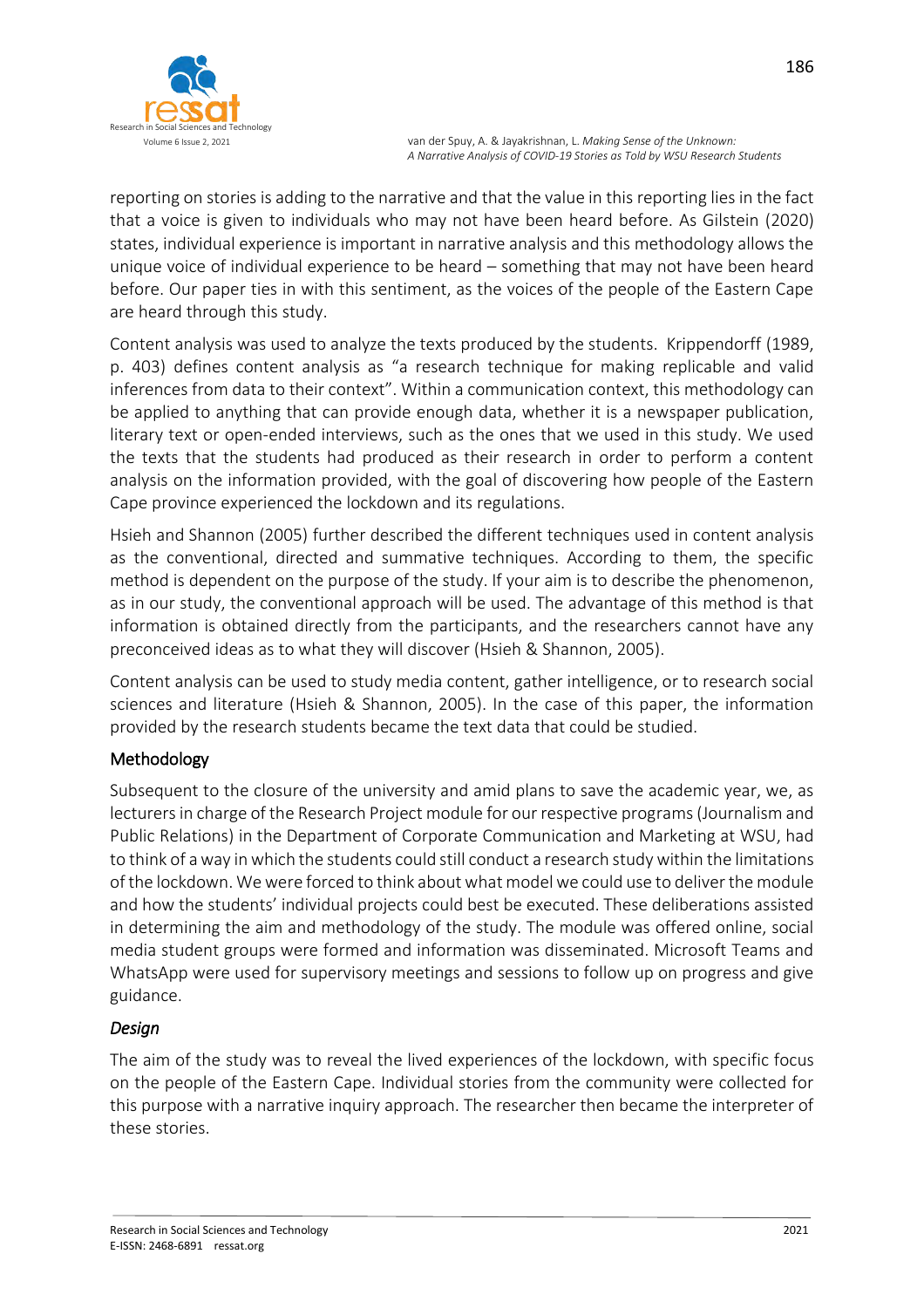

reporting on stories is adding to the narrative and that the value in this reporting lies in the fact that a voice is given to individuals who may not have been heard before. As Gilstein (2020) states, individual experience is important in narrative analysis and this methodology allows the unique voice of individual experience to be heard – something that may not have been heard before. Our paper ties in with this sentiment, as the voices of the people of the Eastern Cape are heard through this study.

Content analysis was used to analyze the texts produced by the students. Krippendorff (1989, p. 403) defines content analysis as "a research technique for making replicable and valid inferences from data to their context". Within a communication context, this methodology can be applied to anything that can provide enough data, whether it is a newspaper publication, literary text or open-ended interviews, such as the ones that we used in this study. We used the texts that the students had produced as their research in order to perform a content analysis on the information provided, with the goal of discovering how people of the Eastern Cape province experienced the lockdown and its regulations.

Hsieh and Shannon (2005) further described the different techniques used in content analysis as the conventional, directed and summative techniques. According to them, the specific method is dependent on the purpose of the study. If your aim is to describe the phenomenon, as in our study, the conventional approach will be used. The advantage of this method is that information is obtained directly from the participants, and the researchers cannot have any preconceived ideas as to what they will discover (Hsieh & Shannon, 2005).

Content analysis can be used to study media content, gather intelligence, or to research social sciences and literature (Hsieh & Shannon, 2005). In the case of this paper, the information provided by the research students became the text data that could be studied.

### Methodology

Subsequent to the closure of the university and amid plans to save the academic year, we, as lecturers in charge of the Research Project module for our respective programs (Journalism and Public Relations) in the Department of Corporate Communication and Marketing at WSU, had to think of a way in which the students could still conduct a research study within the limitations of the lockdown. We were forced to think aboutwhat model we could use to deliver the module and how the students' individual projects could best be executed. These deliberations assisted in determining the aim and methodology of the study. The module was offered online, social media student groups were formed and information was disseminated. Microsoft Teams and WhatsApp were used for supervisory meetings and sessions to follow up on progress and give guidance.

### *Design*

The aim of the study was to reveal the lived experiences of the lockdown, with specific focus on the people of the Eastern Cape. Individual stories from the community were collected for this purpose with a narrative inquiry approach. The researcher then became the interpreter of these stories.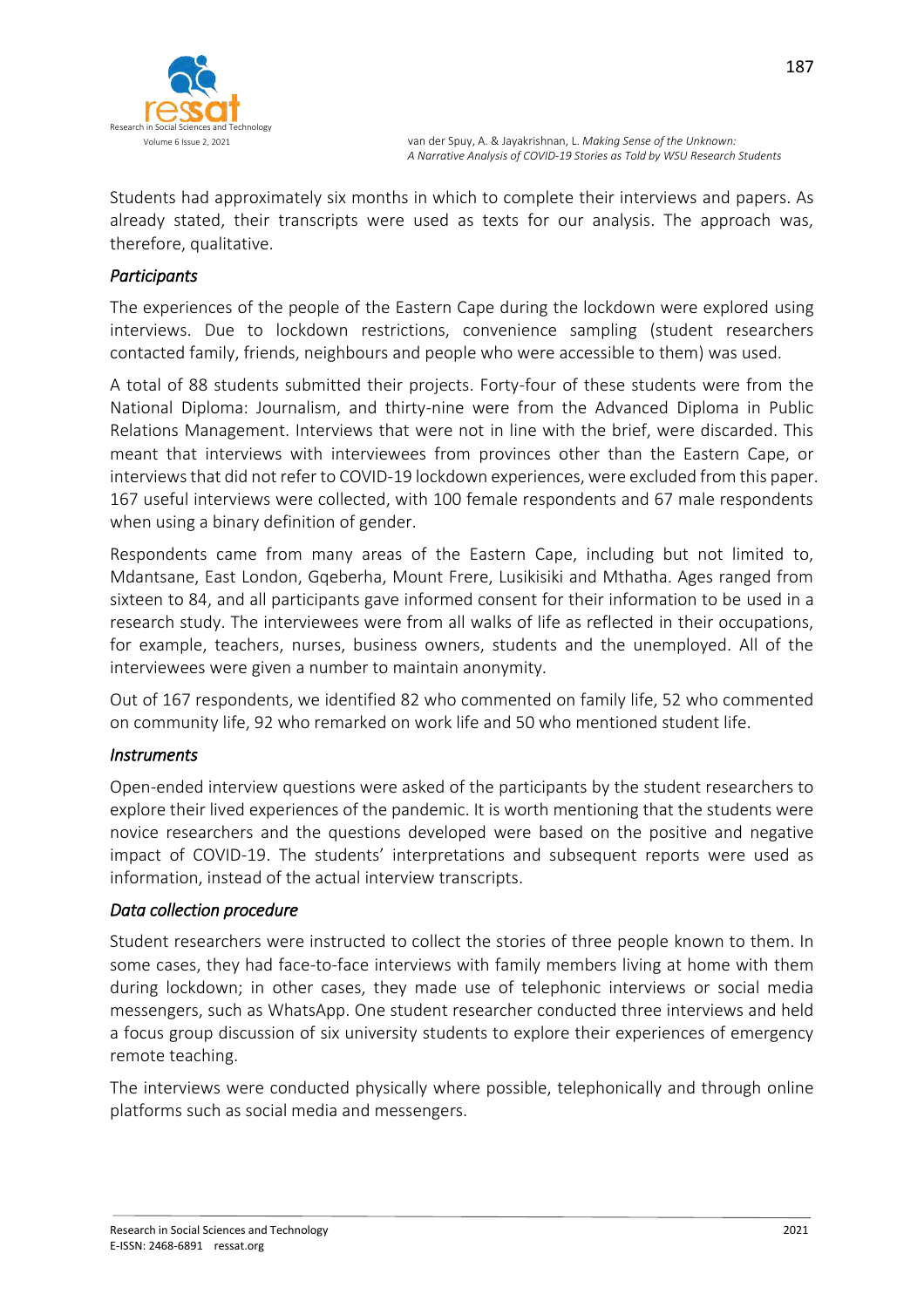

Students had approximately six months in which to complete their interviews and papers. As already stated, their transcripts were used as texts for our analysis. The approach was, therefore, qualitative.

### *Participants*

The experiences of the people of the Eastern Cape during the lockdown were explored using interviews. Due to lockdown restrictions, convenience sampling (student researchers contacted family, friends, neighbours and people who were accessible to them) was used.

A total of 88 students submitted their projects. Forty-four of these students were from the National Diploma: Journalism, and thirty-nine were from the Advanced Diploma in Public Relations Management. Interviews that were not in line with the brief, were discarded. This meant that interviews with interviewees from provinces other than the Eastern Cape, or interviews that did not refer to COVID-19 lockdown experiences, were excluded from this paper. 167 useful interviews were collected, with 100 female respondents and 67 male respondents when using a binary definition of gender.

Respondents came from many areas of the Eastern Cape, including but not limited to, Mdantsane, East London, Gqeberha, Mount Frere, Lusikisiki and Mthatha. Ages ranged from sixteen to 84, and all participants gave informed consent for their information to be used in a research study. The interviewees were from all walks of life as reflected in their occupations, for example, teachers, nurses, business owners, students and the unemployed. All of the interviewees were given a number to maintain anonymity.

Out of 167 respondents, we identified 82 who commented on family life, 52 who commented on community life, 92 who remarked on work life and 50 who mentioned student life.

### *Instruments*

Open-ended interview questions were asked of the participants by the student researchers to explore their lived experiences of the pandemic. It is worth mentioning that the students were novice researchers and the questions developed were based on the positive and negative impact of COVID-19. The students' interpretations and subsequent reports were used as information, instead of the actual interview transcripts.

### *Data collection procedure*

Student researchers were instructed to collect the stories of three people known to them. In some cases, they had face-to-face interviews with family members living at home with them during lockdown; in other cases, they made use of telephonic interviews or social media messengers, such as WhatsApp. One student researcher conducted three interviews and held a focus group discussion of six university students to explore their experiences of emergency remote teaching.

The interviews were conducted physically where possible, telephonically and through online platforms such as social media and messengers.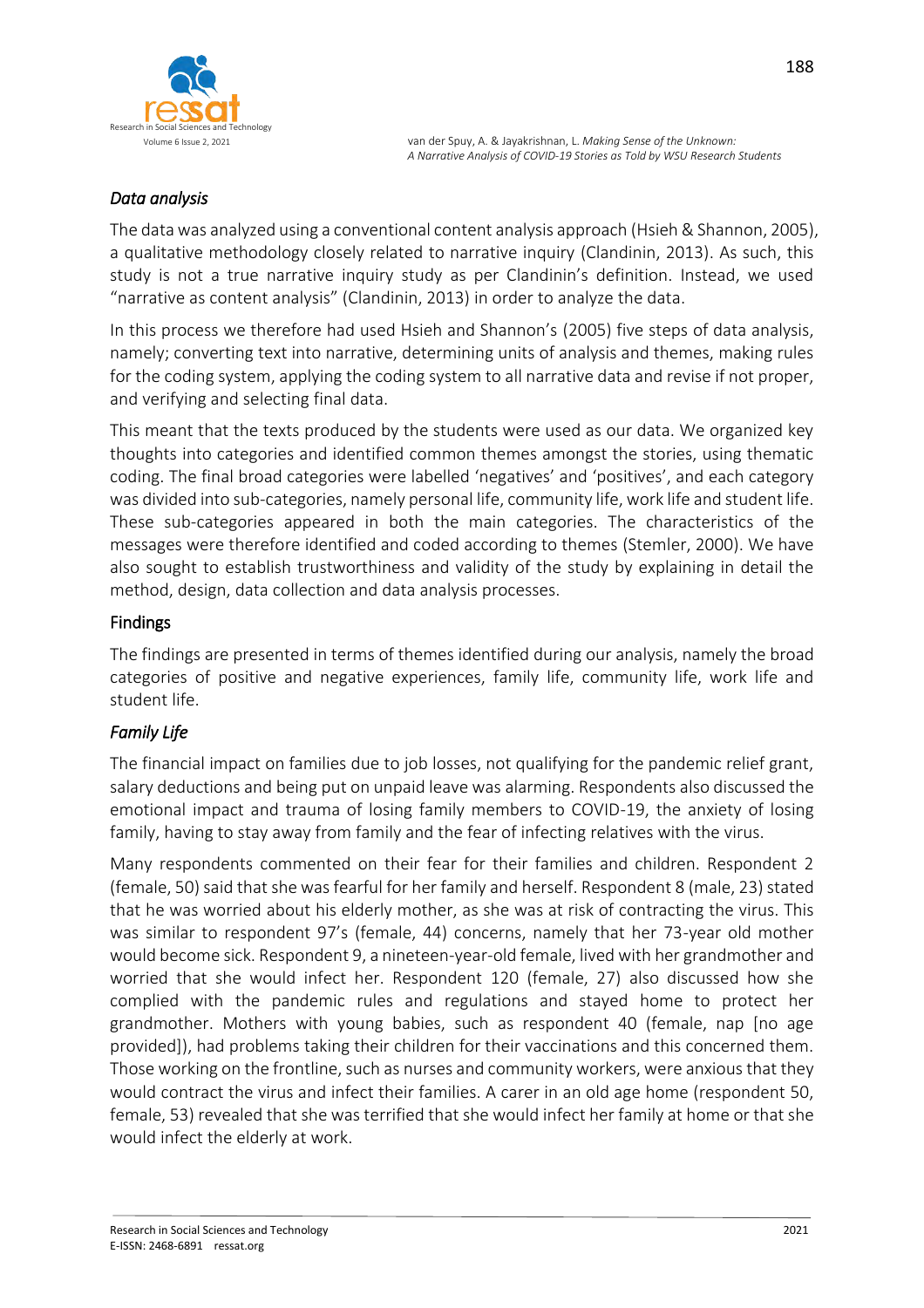

## *Data analysis*

The data was analyzed using a conventional content analysis approach (Hsieh & Shannon, 2005), a qualitative methodology closely related to narrative inquiry (Clandinin, 2013). As such, this study is not a true narrative inquiry study as per Clandinin's definition. Instead, we used "narrative as content analysis" (Clandinin, 2013) in order to analyze the data.

In this process we therefore had used Hsieh and Shannon's (2005) five steps of data analysis, namely; converting text into narrative, determining units of analysis and themes, making rules for the coding system, applying the coding system to all narrative data and revise if not proper, and verifying and selecting final data.

This meant that the texts produced by the students were used as our data. We organized key thoughts into categories and identified common themes amongst the stories, using thematic coding. The final broad categories were labelled 'negatives' and 'positives', and each category was divided into sub-categories, namely personal life, community life, work life and student life. These sub-categories appeared in both the main categories. The characteristics of the messages were therefore identified and coded according to themes (Stemler, 2000). We have also sought to establish trustworthiness and validity of the study by explaining in detail the method, design, data collection and data analysis processes.

### Findings

The findings are presented in terms of themes identified during our analysis, namely the broad categories of positive and negative experiences, family life, community life, work life and student life.

# *Family Life*

The financial impact on families due to job losses, not qualifying for the pandemic relief grant, salary deductions and being put on unpaid leave was alarming. Respondents also discussed the emotional impact and trauma of losing family members to COVID-19, the anxiety of losing family, having to stay away from family and the fear of infecting relatives with the virus.

Many respondents commented on their fear for their families and children. Respondent 2 (female, 50) said that she was fearful for her family and herself. Respondent 8 (male, 23) stated that he was worried about his elderly mother, as she was at risk of contracting the virus. This was similar to respondent 97's (female, 44) concerns, namely that her 73-year old mother would become sick. Respondent 9, a nineteen-year-old female, lived with her grandmother and worried that she would infect her. Respondent 120 (female, 27) also discussed how she complied with the pandemic rules and regulations and stayed home to protect her grandmother. Mothers with young babies, such as respondent 40 (female, nap [no age provided]), had problems taking their children for their vaccinations and this concerned them. Those working on the frontline, such as nurses and community workers, were anxious that they would contract the virus and infect their families. A carer in an old age home (respondent 50, female, 53) revealed that she was terrified that she would infect her family at home or that she would infect the elderly at work.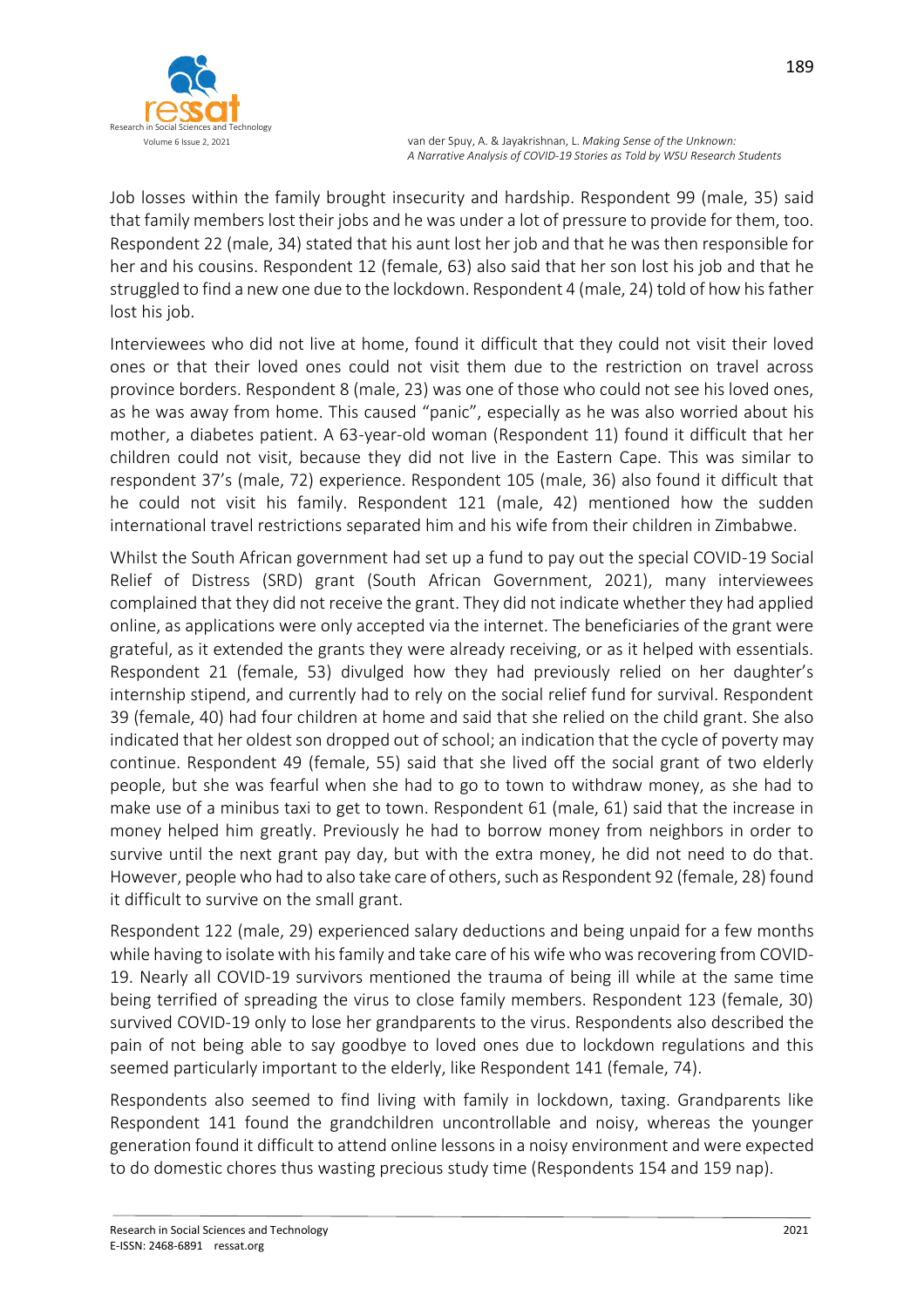

Job losses within the family brought insecurity and hardship. Respondent 99 (male, 35) said that family members lost their jobs and he was under a lot of pressure to provide for them, too. Respondent 22 (male, 34) stated that his aunt lost her job and that he was then responsible for her and his cousins. Respondent 12 (female, 63) also said that her son lost his job and that he struggled to find a new one due to the lockdown. Respondent 4 (male, 24) told of how his father lost his job.

Interviewees who did not live at home, found it difficult that they could not visit their loved ones or that their loved ones could not visit them due to the restriction on travel across province borders. Respondent 8 (male, 23) was one of those who could not see his loved ones, as he was away from home. This caused "panic", especially as he was also worried about his mother, a diabetes patient. A 63-year-old woman (Respondent 11) found it difficult that her children could not visit, because they did not live in the Eastern Cape. This was similar to respondent 37's (male, 72) experience. Respondent 105 (male, 36) also found it difficult that he could not visit his family. Respondent 121 (male, 42) mentioned how the sudden international travel restrictions separated him and his wife from their children in Zimbabwe.

Whilst the South African government had set up a fund to pay out the special COVID-19 Social Relief of Distress (SRD) grant (South African Government, 2021), many interviewees complained that they did not receive the grant. They did not indicate whether they had applied online, as applications were only accepted via the internet. The beneficiaries of the grant were grateful, as it extended the grants they were already receiving, or as it helped with essentials. Respondent 21 (female, 53) divulged how they had previously relied on her daughter's internship stipend, and currently had to rely on the social relief fund for survival. Respondent 39 (female, 40) had four children at home and said that she relied on the child grant. She also indicated that her oldest son dropped out of school; an indication that the cycle of poverty may continue. Respondent 49 (female, 55) said that she lived off the social grant of two elderly people, but she was fearful when she had to go to town to withdraw money, as she had to make use of a minibus taxi to get to town. Respondent 61 (male, 61) said that the increase in money helped him greatly. Previously he had to borrow money from neighbors in order to survive until the next grant pay day, but with the extra money, he did not need to do that. However, people who had to also take care of others, such as Respondent 92 (female, 28) found it difficult to survive on the small grant.

Respondent 122 (male, 29) experienced salary deductions and being unpaid for a few months while having to isolate with his family and take care of his wife who was recovering from COVID-19. Nearly all COVID-19 survivors mentioned the trauma of being ill while at the same time being terrified of spreading the virus to close family members. Respondent 123 (female, 30) survived COVID-19 only to lose her grandparents to the virus. Respondents also described the pain of not being able to say goodbye to loved ones due to lockdown regulations and this seemed particularly important to the elderly, like Respondent 141 (female, 74).

Respondents also seemed to find living with family in lockdown, taxing. Grandparents like Respondent 141 found the grandchildren uncontrollable and noisy, whereas the younger generation found it difficult to attend online lessons in a noisy environment and were expected to do domestic chores thus wasting precious study time (Respondents 154 and 159 nap).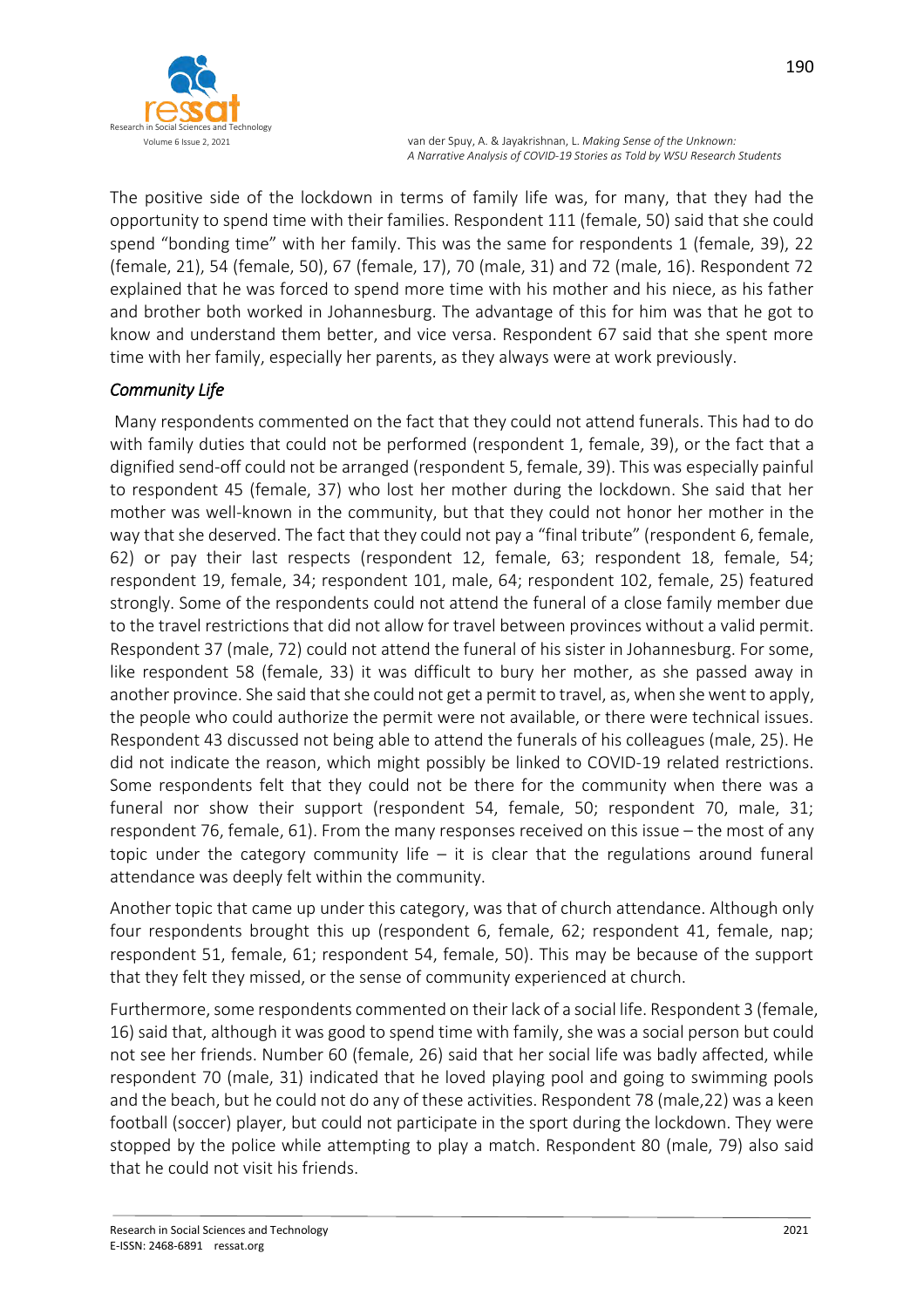

The positive side of the lockdown in terms of family life was, for many, that they had the opportunity to spend time with their families. Respondent 111 (female, 50) said that she could spend "bonding time" with her family. This was the same for respondents 1 (female, 39), 22 (female, 21), 54 (female, 50), 67 (female, 17), 70 (male, 31) and 72 (male, 16). Respondent 72 explained that he was forced to spend more time with his mother and his niece, as his father and brother both worked in Johannesburg. The advantage of this for him was that he got to know and understand them better, and vice versa. Respondent 67 said that she spent more time with her family, especially her parents, as they always were at work previously.

# *Community Life*

Many respondents commented on the fact that they could not attend funerals. This had to do with family duties that could not be performed (respondent 1, female, 39), or the fact that a dignified send-off could not be arranged (respondent 5, female, 39). This was especially painful to respondent 45 (female, 37) who lost her mother during the lockdown. She said that her mother was well-known in the community, but that they could not honor her mother in the way that she deserved. The fact that they could not pay a "final tribute" (respondent 6, female, 62) or pay their last respects (respondent 12, female, 63; respondent 18, female, 54; respondent 19, female, 34; respondent 101, male, 64; respondent 102, female, 25) featured strongly. Some of the respondents could not attend the funeral of a close family member due to the travel restrictions that did not allow for travel between provinces without a valid permit. Respondent 37 (male, 72) could not attend the funeral of his sister in Johannesburg. For some, like respondent 58 (female, 33) it was difficult to bury her mother, as she passed away in another province. She said that she could not get a permit to travel, as, when she went to apply, the people who could authorize the permit were not available, or there were technical issues. Respondent 43 discussed not being able to attend the funerals of his colleagues (male, 25). He did not indicate the reason, which might possibly be linked to COVID-19 related restrictions. Some respondents felt that they could not be there for the community when there was a funeral nor show their support (respondent 54, female, 50; respondent 70, male, 31; respondent 76, female, 61). From the many responses received on this issue – the most of any topic under the category community life – it is clear that the regulations around funeral attendance was deeply felt within the community.

Another topic that came up under this category, was that of church attendance. Although only four respondents brought this up (respondent 6, female, 62; respondent 41, female, nap; respondent 51, female, 61; respondent 54, female, 50). This may be because of the support that they felt they missed, or the sense of community experienced at church.

Furthermore, some respondents commented on their lack of a social life. Respondent 3 (female, 16) said that, although it was good to spend time with family, she was a social person but could not see her friends. Number 60 (female, 26) said that her social life was badly affected, while respondent 70 (male, 31) indicated that he loved playing pool and going to swimming pools and the beach, but he could not do any of these activities. Respondent 78 (male,22) was a keen football (soccer) player, but could not participate in the sport during the lockdown. They were stopped by the police while attempting to play a match. Respondent 80 (male, 79) also said that he could not visit his friends.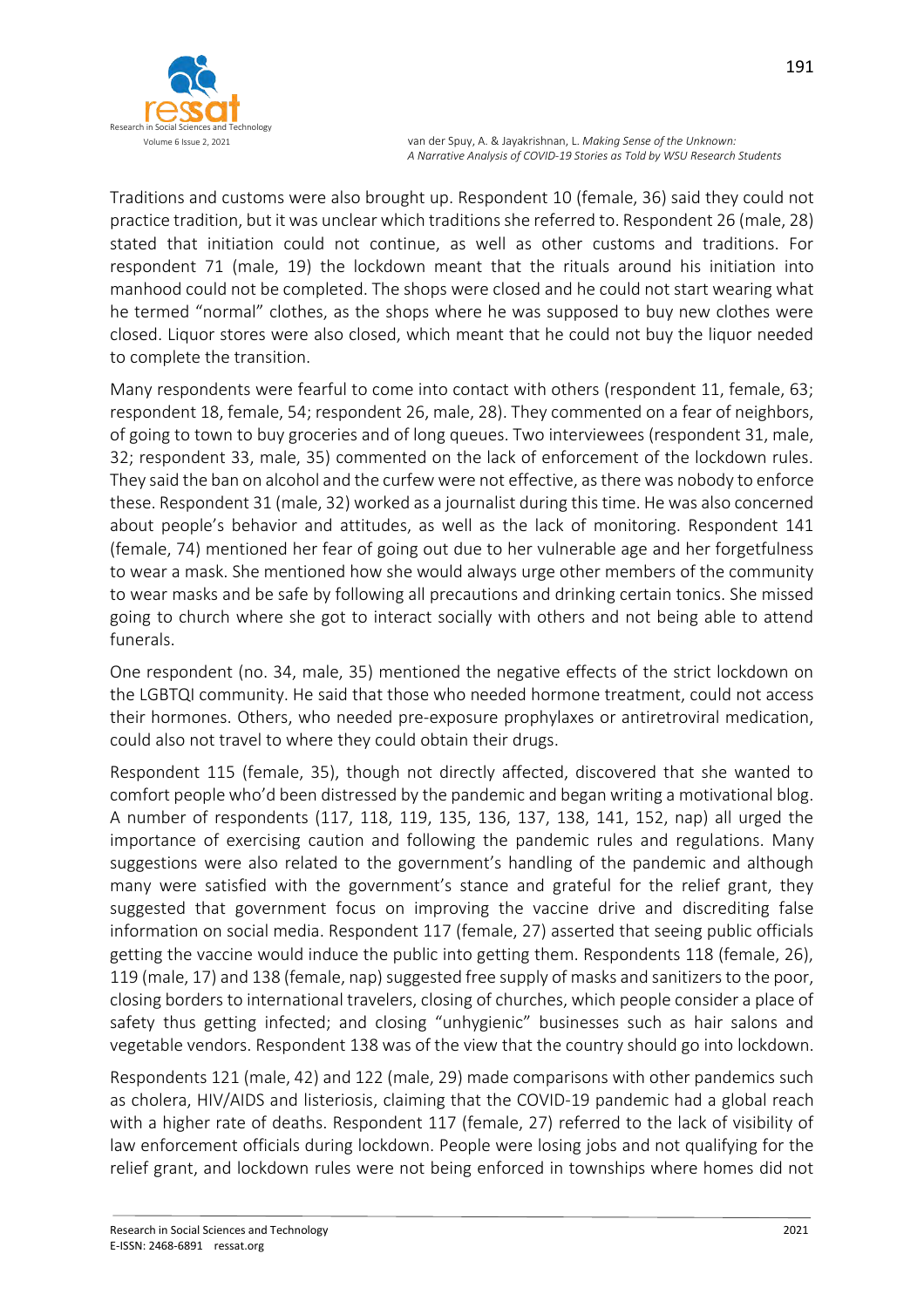

Traditions and customs were also brought up. Respondent 10 (female, 36) said they could not practice tradition, but it was unclear which traditions she referred to. Respondent 26 (male, 28) stated that initiation could not continue, as well as other customs and traditions. For respondent 71 (male, 19) the lockdown meant that the rituals around his initiation into manhood could not be completed. The shops were closed and he could not start wearing what he termed "normal" clothes, as the shops where he was supposed to buy new clothes were closed. Liquor stores were also closed, which meant that he could not buy the liquor needed to complete the transition.

Many respondents were fearful to come into contact with others (respondent 11, female, 63; respondent 18, female, 54; respondent 26, male, 28). They commented on a fear of neighbors, of going to town to buy groceries and of long queues. Two interviewees (respondent 31, male, 32; respondent 33, male, 35) commented on the lack of enforcement of the lockdown rules. They said the ban on alcohol and the curfew were not effective, as there was nobody to enforce these. Respondent 31 (male, 32) worked as a journalist during this time. He was also concerned about people's behavior and attitudes, as well as the lack of monitoring. Respondent 141 (female, 74) mentioned her fear of going out due to her vulnerable age and her forgetfulness to wear a mask. She mentioned how she would always urge other members of the community to wear masks and be safe by following all precautions and drinking certain tonics. She missed going to church where she got to interact socially with others and not being able to attend funerals.

One respondent (no. 34, male, 35) mentioned the negative effects of the strict lockdown on the LGBTQI community. He said that those who needed hormone treatment, could not access their hormones. Others, who needed pre-exposure prophylaxes or antiretroviral medication, could also not travel to where they could obtain their drugs.

Respondent 115 (female, 35), though not directly affected, discovered that she wanted to comfort people who'd been distressed by the pandemic and began writing a motivational blog. A number of respondents (117, 118, 119, 135, 136, 137, 138, 141, 152, nap) all urged the importance of exercising caution and following the pandemic rules and regulations. Many suggestions were also related to the government's handling of the pandemic and although many were satisfied with the government's stance and grateful for the relief grant, they suggested that government focus on improving the vaccine drive and discrediting false information on social media. Respondent 117 (female, 27) asserted that seeing public officials getting the vaccine would induce the public into getting them. Respondents 118 (female, 26), 119 (male, 17) and 138 (female, nap) suggested free supply of masks and sanitizers to the poor, closing borders to international travelers, closing of churches, which people consider a place of safety thus getting infected; and closing "unhygienic" businesses such as hair salons and vegetable vendors. Respondent 138 was of the view that the country should go into lockdown.

Respondents 121 (male, 42) and 122 (male, 29) made comparisons with other pandemics such as cholera, HIV/AIDS and listeriosis, claiming that the COVID-19 pandemic had a global reach with a higher rate of deaths. Respondent 117 (female, 27) referred to the lack of visibility of law enforcement officials during lockdown. People were losing jobs and not qualifying for the relief grant, and lockdown rules were not being enforced in townships where homes did not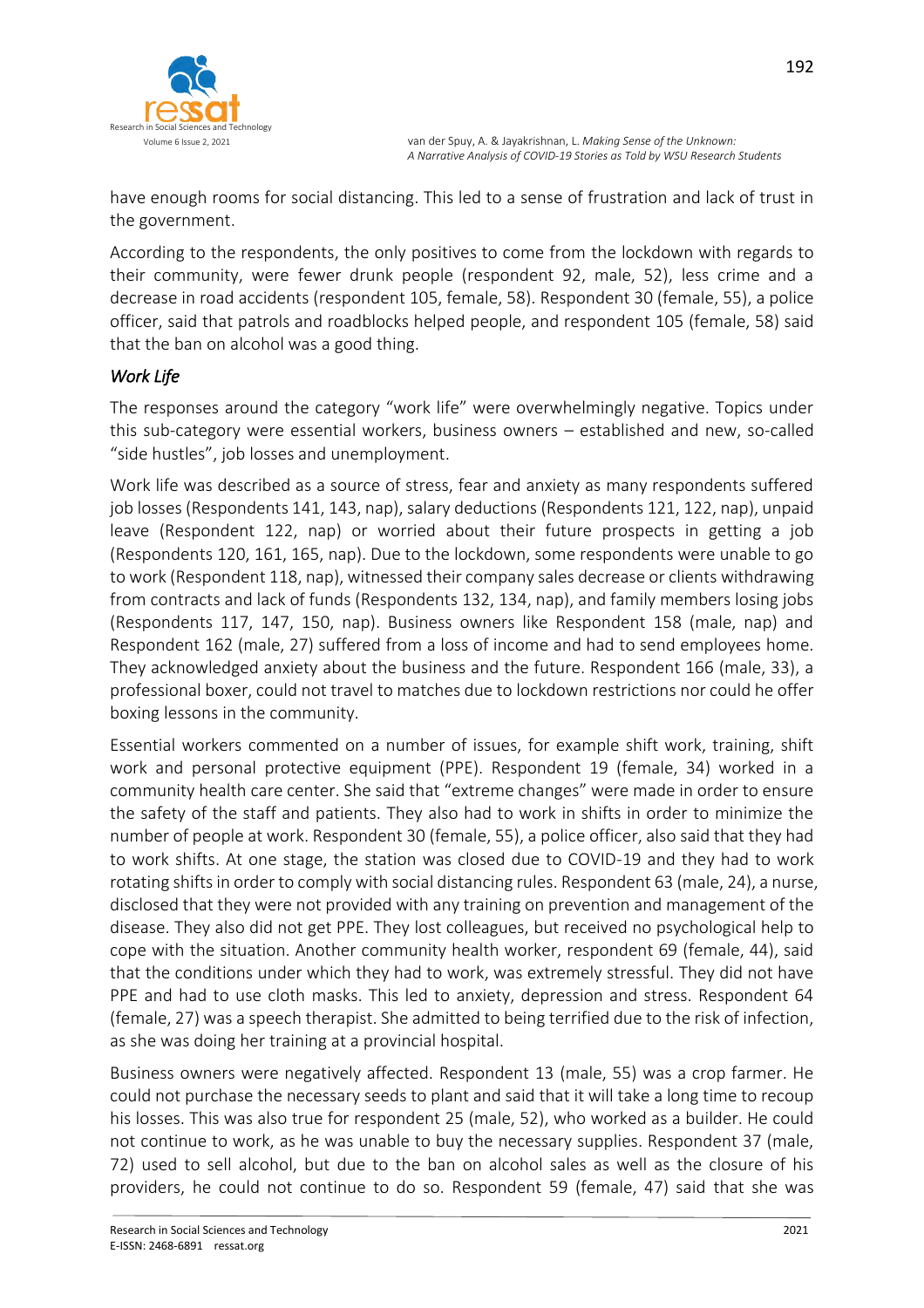

have enough rooms for social distancing. This led to a sense of frustration and lack of trust in the government.

According to the respondents, the only positives to come from the lockdown with regards to their community, were fewer drunk people (respondent 92, male, 52), less crime and a decrease in road accidents (respondent 105, female, 58). Respondent 30 (female, 55), a police officer, said that patrols and roadblocks helped people, and respondent 105 (female, 58) said that the ban on alcohol was a good thing.

## *Work Life*

The responses around the category "work life" were overwhelmingly negative. Topics under this sub-category were essential workers, business owners – established and new, so-called "side hustles", job losses and unemployment.

Work life was described as a source of stress, fear and anxiety as many respondents suffered job losses (Respondents 141, 143, nap), salary deductions (Respondents 121, 122, nap), unpaid leave (Respondent 122, nap) or worried about their future prospects in getting a job (Respondents 120, 161, 165, nap). Due to the lockdown, some respondents were unable to go to work (Respondent 118, nap), witnessed their company sales decrease or clients withdrawing from contracts and lack of funds (Respondents 132, 134, nap), and family members losing jobs (Respondents 117, 147, 150, nap). Business owners like Respondent 158 (male, nap) and Respondent 162 (male, 27) suffered from a loss of income and had to send employees home. They acknowledged anxiety about the business and the future. Respondent 166 (male, 33), a professional boxer, could not travel to matches due to lockdown restrictions nor could he offer boxing lessons in the community.

Essential workers commented on a number of issues, for example shift work, training, shift work and personal protective equipment (PPE). Respondent 19 (female, 34) worked in a community health care center. She said that "extreme changes" were made in order to ensure the safety of the staff and patients. They also had to work in shifts in order to minimize the number of people at work. Respondent 30 (female, 55), a police officer, also said that they had to work shifts. At one stage, the station was closed due to COVID-19 and they had to work rotating shifts in order to comply with social distancing rules. Respondent 63 (male, 24), a nurse, disclosed that they were not provided with any training on prevention and management of the disease. They also did not get PPE. They lost colleagues, but received no psychological help to cope with the situation. Another community health worker, respondent 69 (female, 44), said that the conditions under which they had to work, was extremely stressful. They did not have PPE and had to use cloth masks. This led to anxiety, depression and stress. Respondent 64 (female, 27) was a speech therapist. She admitted to being terrified due to the risk of infection, as she was doing her training at a provincial hospital.

Business owners were negatively affected. Respondent 13 (male, 55) was a crop farmer. He could not purchase the necessary seeds to plant and said that it will take a long time to recoup his losses. This was also true for respondent 25 (male, 52), who worked as a builder. He could not continue to work, as he was unable to buy the necessary supplies. Respondent 37 (male, 72) used to sell alcohol, but due to the ban on alcohol sales as well as the closure of his providers, he could not continue to do so. Respondent 59 (female, 47) said that she was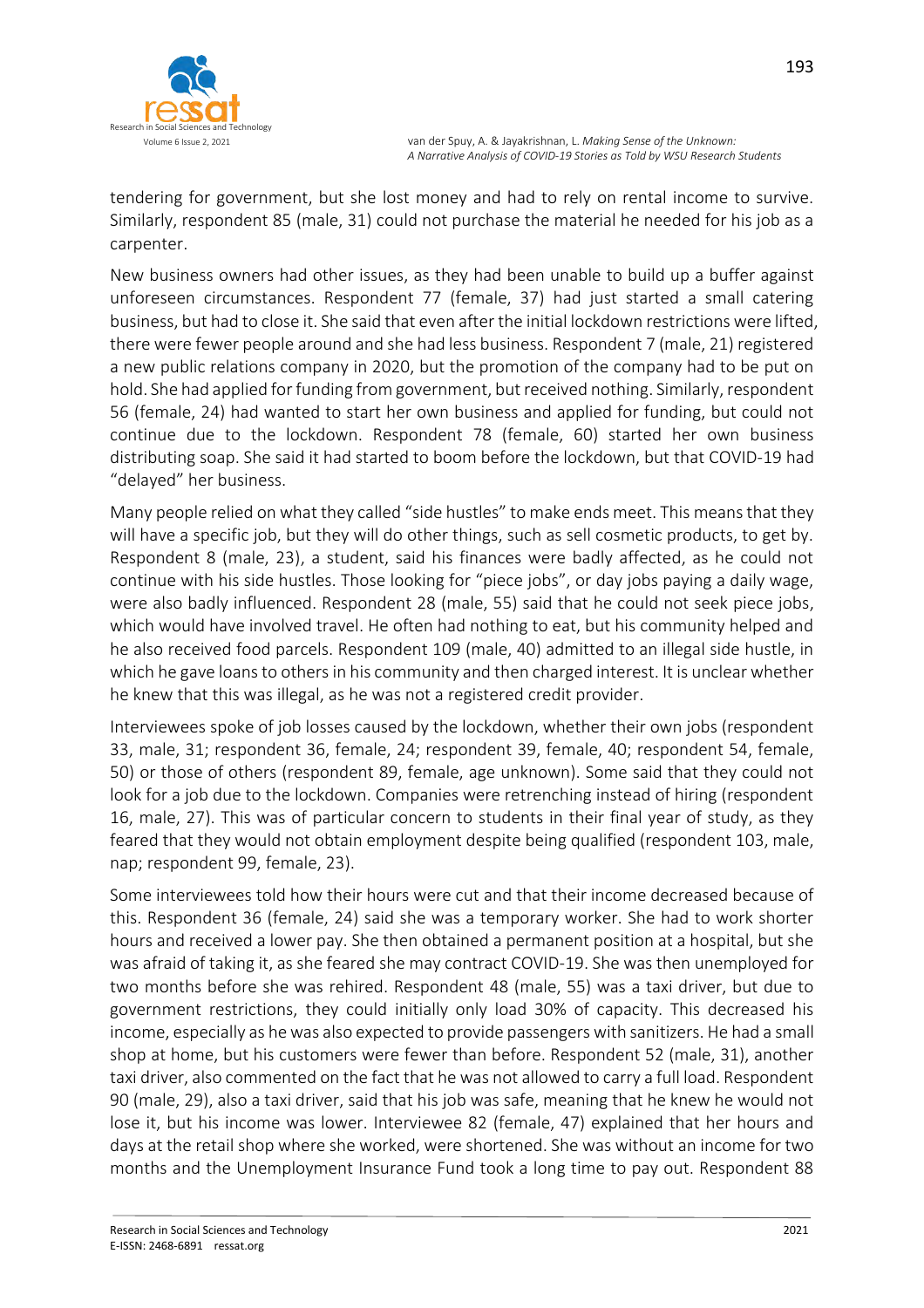

tendering for government, but she lost money and had to rely on rental income to survive. Similarly, respondent 85 (male, 31) could not purchase the material he needed for his job as a carpenter.

New business owners had other issues, as they had been unable to build up a buffer against unforeseen circumstances. Respondent 77 (female, 37) had just started a small catering business, but had to close it. She said that even after the initial lockdown restrictions were lifted, there were fewer people around and she had less business. Respondent 7 (male, 21) registered a new public relations company in 2020, but the promotion of the company had to be put on hold. She had applied for funding from government, but received nothing. Similarly, respondent 56 (female, 24) had wanted to start her own business and applied for funding, but could not continue due to the lockdown. Respondent 78 (female, 60) started her own business distributing soap. She said it had started to boom before the lockdown, but that COVID-19 had "delayed" her business.

Many people relied on what they called "side hustles" to make ends meet. This means that they will have a specific job, but they will do other things, such as sell cosmetic products, to get by. Respondent 8 (male, 23), a student, said his finances were badly affected, as he could not continue with his side hustles. Those looking for "piece jobs", or day jobs paying a daily wage, were also badly influenced. Respondent 28 (male, 55) said that he could not seek piece jobs, which would have involved travel. He often had nothing to eat, but his community helped and he also received food parcels. Respondent 109 (male, 40) admitted to an illegal side hustle, in which he gave loans to others in his community and then charged interest. It is unclear whether he knew that this was illegal, as he was not a registered credit provider.

Interviewees spoke of job losses caused by the lockdown, whether their own jobs (respondent 33, male, 31; respondent 36, female, 24; respondent 39, female, 40; respondent 54, female, 50) or those of others (respondent 89, female, age unknown). Some said that they could not look for a job due to the lockdown. Companies were retrenching instead of hiring (respondent 16, male, 27). This was of particular concern to students in their final year of study, as they feared that they would not obtain employment despite being qualified (respondent 103, male, nap; respondent 99, female, 23).

Some interviewees told how their hours were cut and that their income decreased because of this. Respondent 36 (female, 24) said she was a temporary worker. She had to work shorter hours and received a lower pay. She then obtained a permanent position at a hospital, but she was afraid of taking it, as she feared she may contract COVID-19. She was then unemployed for two months before she was rehired. Respondent 48 (male, 55) was a taxi driver, but due to government restrictions, they could initially only load 30% of capacity. This decreased his income, especially as he was also expected to provide passengers with sanitizers. He had a small shop at home, but his customers were fewer than before. Respondent 52 (male, 31), another taxi driver, also commented on the fact that he was not allowed to carry a full load. Respondent 90 (male, 29), also a taxi driver, said that his job was safe, meaning that he knew he would not lose it, but his income was lower. Interviewee 82 (female, 47) explained that her hours and days at the retail shop where she worked, were shortened. She was without an income for two months and the Unemployment Insurance Fund took a long time to pay out. Respondent 88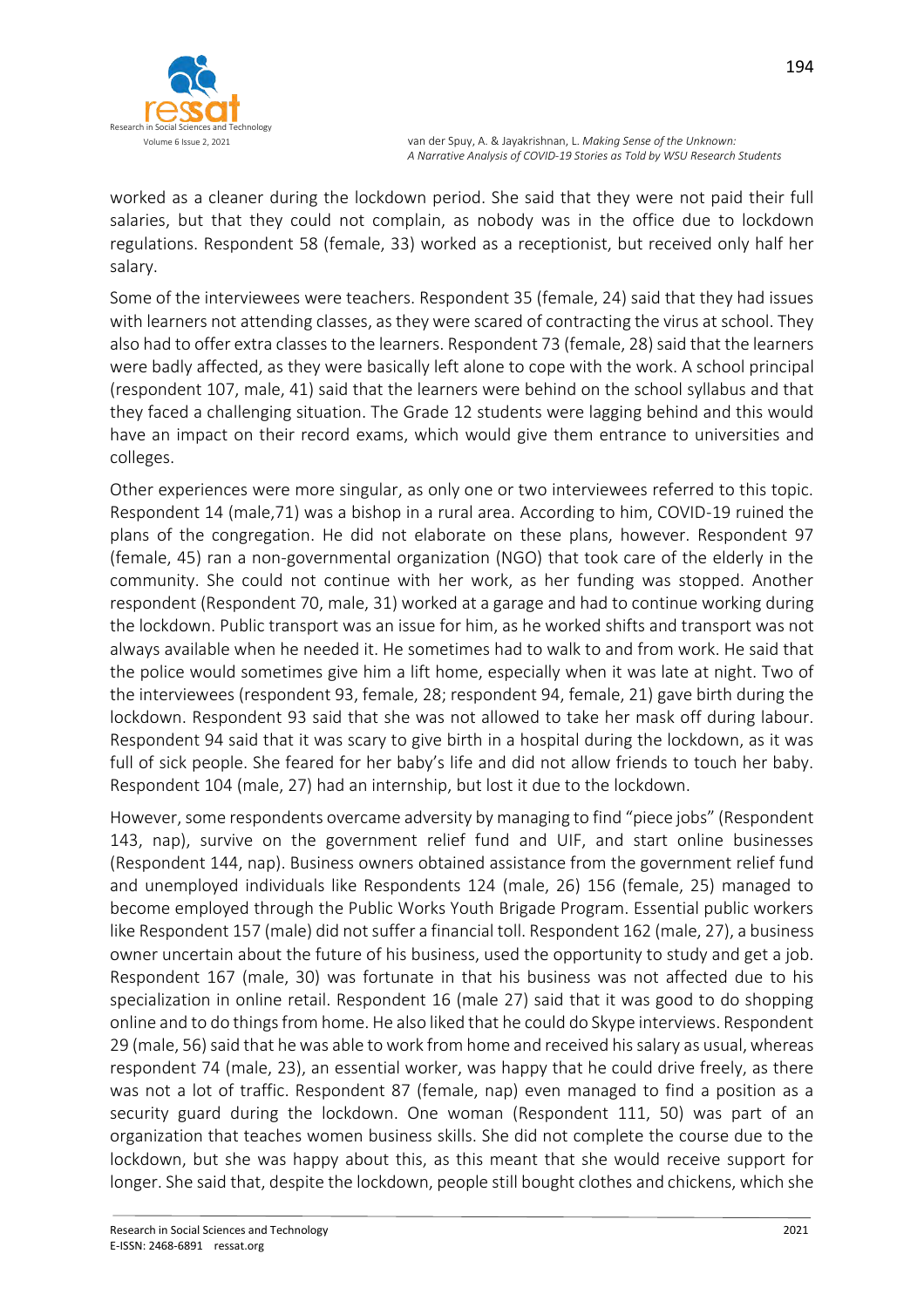

worked as a cleaner during the lockdown period. She said that they were not paid their full salaries, but that they could not complain, as nobody was in the office due to lockdown regulations. Respondent 58 (female, 33) worked as a receptionist, but received only half her salary.

Some of the interviewees were teachers. Respondent 35 (female, 24) said that they had issues with learners not attending classes, as they were scared of contracting the virus at school. They also had to offer extra classes to the learners. Respondent 73 (female, 28) said that the learners were badly affected, as they were basically left alone to cope with the work. A school principal (respondent 107, male, 41) said that the learners were behind on the school syllabus and that they faced a challenging situation. The Grade 12 students were lagging behind and this would have an impact on their record exams, which would give them entrance to universities and colleges.

Other experiences were more singular, as only one or two interviewees referred to this topic. Respondent 14 (male,71) was a bishop in a rural area. According to him, COVID-19 ruined the plans of the congregation. He did not elaborate on these plans, however. Respondent 97 (female, 45) ran a non-governmental organization (NGO) that took care of the elderly in the community. She could not continue with her work, as her funding was stopped. Another respondent (Respondent 70, male, 31) worked at a garage and had to continue working during the lockdown. Public transport was an issue for him, as he worked shifts and transport was not always available when he needed it. He sometimes had to walk to and from work. He said that the police would sometimes give him a lift home, especially when it was late at night. Two of the interviewees (respondent 93, female, 28; respondent 94, female, 21) gave birth during the lockdown. Respondent 93 said that she was not allowed to take her mask off during labour. Respondent 94 said that it was scary to give birth in a hospital during the lockdown, as it was full of sick people. She feared for her baby's life and did not allow friends to touch her baby. Respondent 104 (male, 27) had an internship, but lost it due to the lockdown.

However, some respondents overcame adversity by managing to find "piece jobs" (Respondent 143, nap), survive on the government relief fund and UIF, and start online businesses (Respondent 144, nap). Business owners obtained assistance from the government relief fund and unemployed individuals like Respondents 124 (male, 26) 156 (female, 25) managed to become employed through the Public Works Youth Brigade Program. Essential public workers like Respondent 157 (male) did not suffer a financial toll. Respondent 162 (male, 27), a business owner uncertain about the future of his business, used the opportunity to study and get a job. Respondent 167 (male, 30) was fortunate in that his business was not affected due to his specialization in online retail. Respondent 16 (male 27) said that it was good to do shopping online and to do things from home. He also liked that he could do Skype interviews. Respondent 29 (male, 56) said that he was able to work from home and received his salary as usual, whereas respondent 74 (male, 23), an essential worker, was happy that he could drive freely, as there was not a lot of traffic. Respondent 87 (female, nap) even managed to find a position as a security guard during the lockdown. One woman (Respondent 111, 50) was part of an organization that teaches women business skills. She did not complete the course due to the lockdown, but she was happy about this, as this meant that she would receive support for longer. She said that, despite the lockdown, people still bought clothes and chickens, which she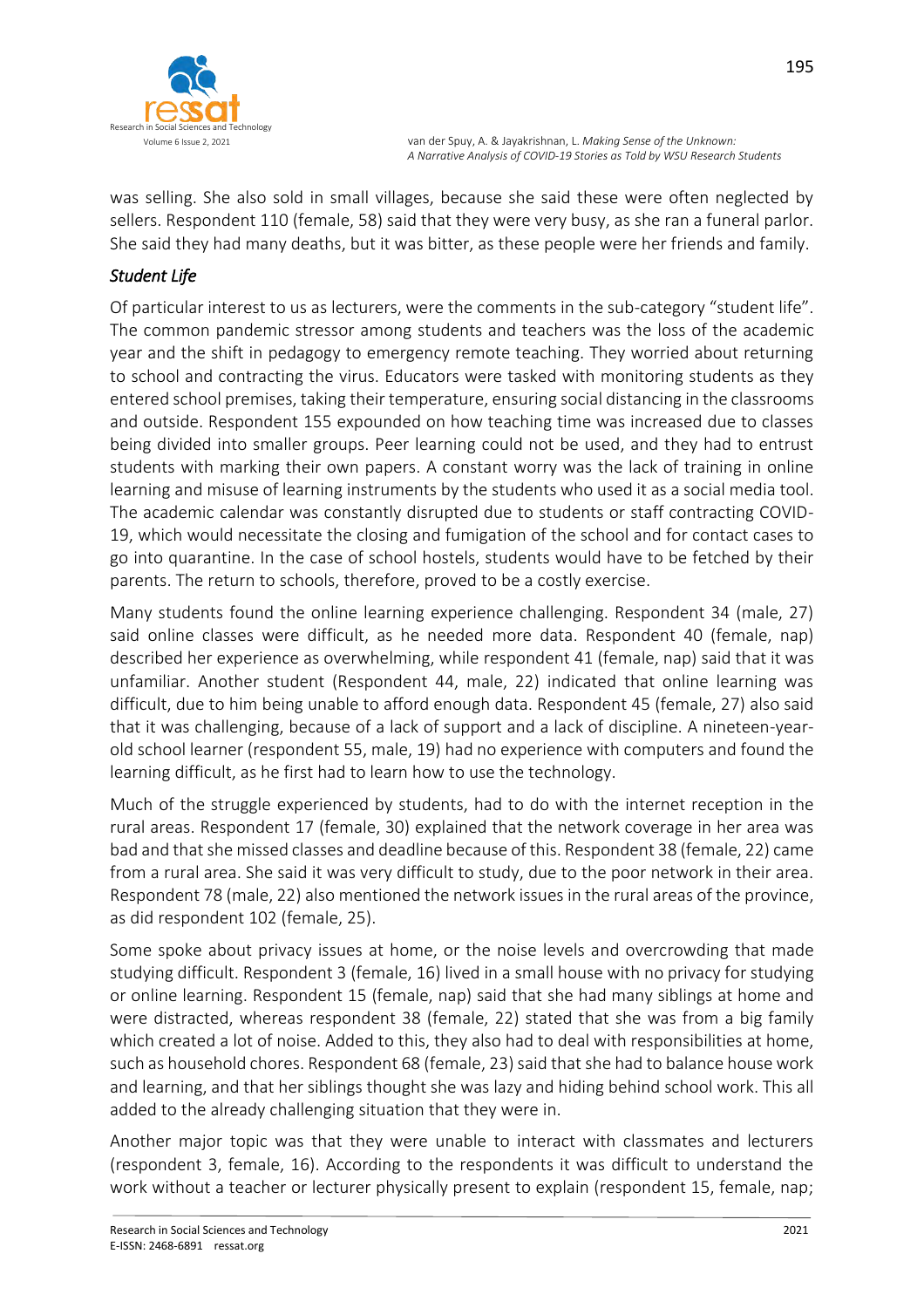

was selling. She also sold in small villages, because she said these were often neglected by sellers. Respondent 110 (female, 58) said that they were very busy, as she ran a funeral parlor. She said they had many deaths, but it was bitter, as these people were her friends and family.

## *Student Life*

Of particular interest to us as lecturers, were the comments in the sub-category "student life". The common pandemic stressor among students and teachers was the loss of the academic year and the shift in pedagogy to emergency remote teaching. They worried about returning to school and contracting the virus. Educators were tasked with monitoring students as they entered school premises, taking their temperature, ensuring social distancing in the classrooms and outside. Respondent 155 expounded on how teaching time was increased due to classes being divided into smaller groups. Peer learning could not be used, and they had to entrust students with marking their own papers. A constant worry was the lack of training in online learning and misuse of learning instruments by the students who used it as a social media tool. The academic calendar was constantly disrupted due to students or staff contracting COVID-19, which would necessitate the closing and fumigation of the school and for contact cases to go into quarantine. In the case of school hostels, students would have to be fetched by their parents. The return to schools, therefore, proved to be a costly exercise.

Many students found the online learning experience challenging. Respondent 34 (male, 27) said online classes were difficult, as he needed more data. Respondent 40 (female, nap) described her experience as overwhelming, while respondent 41 (female, nap) said that it was unfamiliar. Another student (Respondent 44, male, 22) indicated that online learning was difficult, due to him being unable to afford enough data. Respondent 45 (female, 27) also said that it was challenging, because of a lack of support and a lack of discipline. A nineteen-yearold school learner (respondent 55, male, 19) had no experience with computers and found the learning difficult, as he first had to learn how to use the technology.

Much of the struggle experienced by students, had to do with the internet reception in the rural areas. Respondent 17 (female, 30) explained that the network coverage in her area was bad and that she missed classes and deadline because of this. Respondent 38 (female, 22) came from a rural area. She said it was very difficult to study, due to the poor network in their area. Respondent 78 (male, 22) also mentioned the network issues in the rural areas of the province, as did respondent 102 (female, 25).

Some spoke about privacy issues at home, or the noise levels and overcrowding that made studying difficult. Respondent 3 (female, 16) lived in a small house with no privacy for studying or online learning. Respondent 15 (female, nap) said that she had many siblings at home and were distracted, whereas respondent 38 (female, 22) stated that she was from a big family which created a lot of noise. Added to this, they also had to deal with responsibilities at home, such as household chores. Respondent 68 (female, 23) said that she had to balance house work and learning, and that her siblings thought she was lazy and hiding behind school work. This all added to the already challenging situation that they were in.

Another major topic was that they were unable to interact with classmates and lecturers (respondent 3, female, 16). According to the respondents it was difficult to understand the work without a teacher or lecturer physically present to explain (respondent 15, female, nap;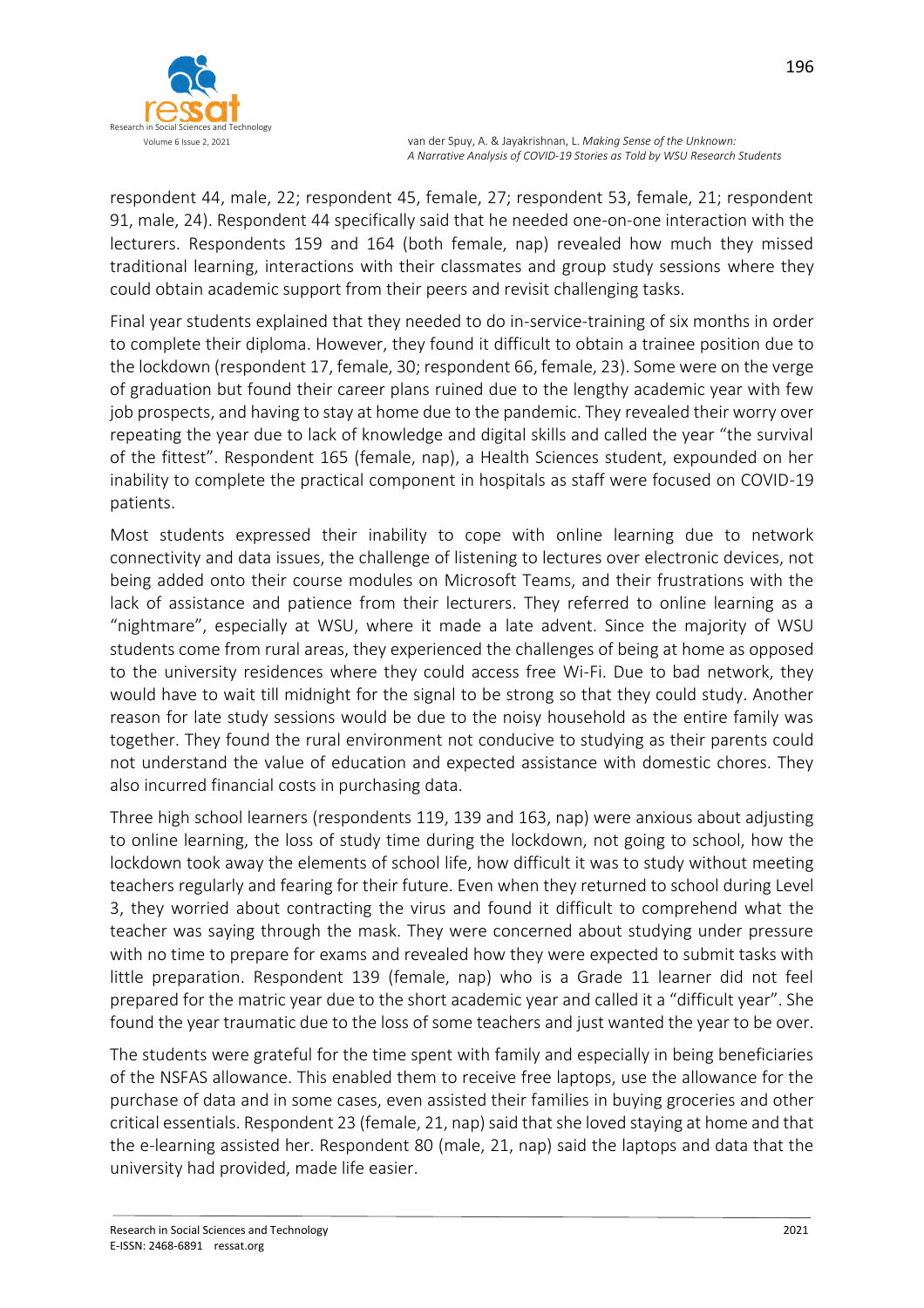

respondent 44, male, 22; respondent 45, female, 27; respondent 53, female, 21; respondent 91, male, 24). Respondent 44 specifically said that he needed one-on-one interaction with the lecturers. Respondents 159 and 164 (both female, nap) revealed how much they missed traditional learning, interactions with their classmates and group study sessions where they could obtain academic support from their peers and revisit challenging tasks.

Final year students explained that they needed to do in-service-training of six months in order to complete their diploma. However, they found it difficult to obtain a trainee position due to the lockdown (respondent 17, female, 30; respondent 66, female, 23). Some were on the verge of graduation but found their career plans ruined due to the lengthy academic year with few job prospects, and having to stay at home due to the pandemic. They revealed their worry over repeating the year due to lack of knowledge and digital skills and called the year "the survival of the fittest". Respondent 165 (female, nap), a Health Sciences student, expounded on her inability to complete the practical component in hospitals as staff were focused on COVID-19 patients.

Most students expressed their inability to cope with online learning due to network connectivity and data issues, the challenge of listening to lectures over electronic devices, not being added onto their course modules on Microsoft Teams, and their frustrations with the lack of assistance and patience from their lecturers. They referred to online learning as a "nightmare", especially at WSU, where it made a late advent. Since the majority of WSU students come from rural areas, they experienced the challenges of being at home as opposed to the university residences where they could access free Wi-Fi. Due to bad network, they would have to wait till midnight for the signal to be strong so that they could study. Another reason for late study sessions would be due to the noisy household as the entire family was together. They found the rural environment not conducive to studying as their parents could not understand the value of education and expected assistance with domestic chores. They also incurred financial costs in purchasing data.

Three high school learners (respondents 119, 139 and 163, nap) were anxious about adjusting to online learning, the loss of study time during the lockdown, not going to school, how the lockdown took away the elements of school life, how difficult it was to study without meeting teachers regularly and fearing for their future. Even when they returned to school during Level 3, they worried about contracting the virus and found it difficult to comprehend what the teacher was saying through the mask. They were concerned about studying under pressure with no time to prepare for exams and revealed how they were expected to submit tasks with little preparation. Respondent 139 (female, nap) who is a Grade 11 learner did not feel prepared for the matric year due to the short academic year and called it a "difficult year". She found the year traumatic due to the loss of some teachers and just wanted the year to be over.

The students were grateful for the time spent with family and especially in being beneficiaries of the NSFAS allowance. This enabled them to receive free laptops, use the allowance for the purchase of data and in some cases, even assisted their families in buying groceries and other critical essentials. Respondent 23 (female, 21, nap) said that she loved staying at home and that the e-learning assisted her. Respondent 80 (male, 21, nap) said the laptops and data that the university had provided, made life easier.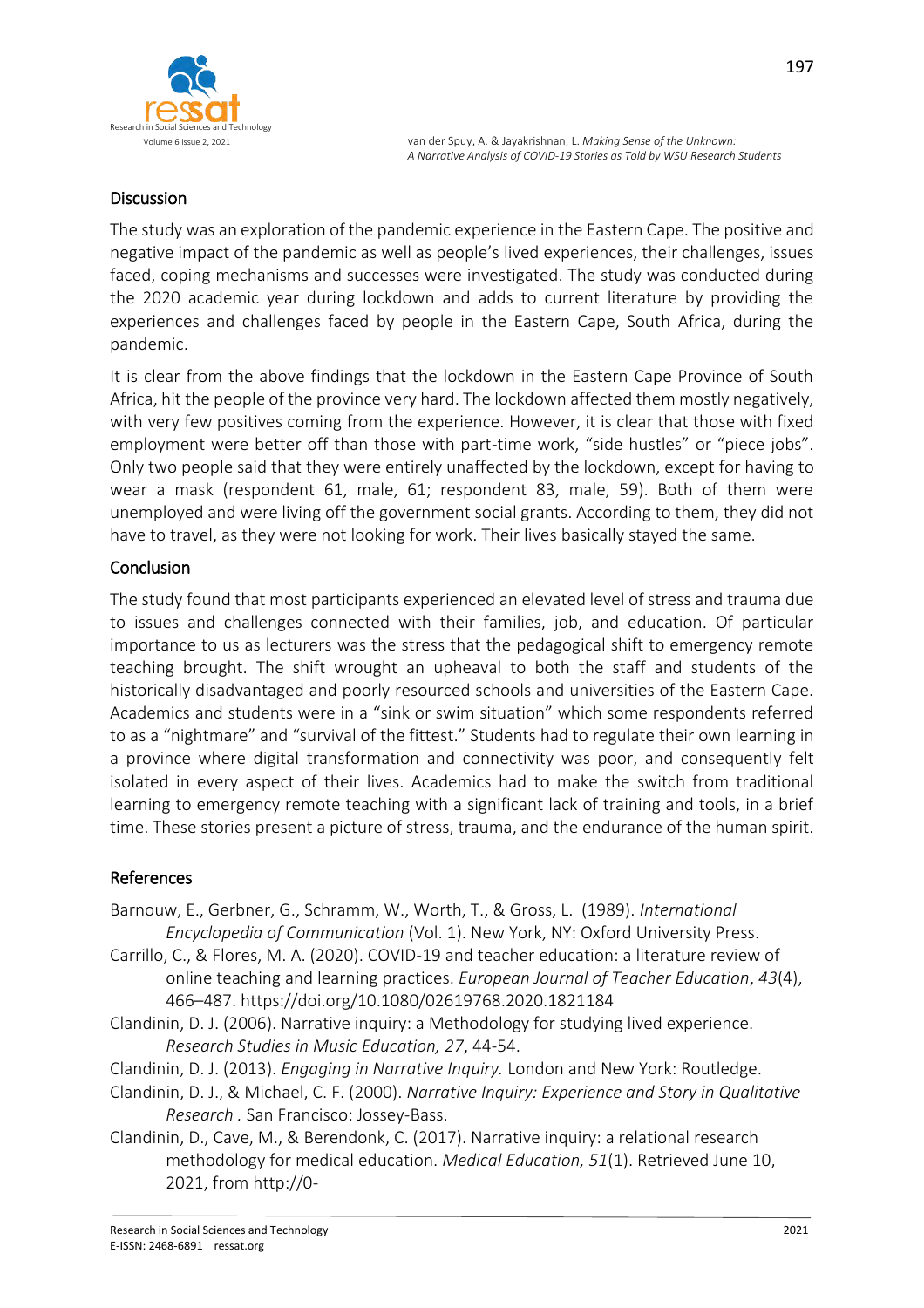

### Discussion

The study was an exploration of the pandemic experience in the Eastern Cape. The positive and negative impact of the pandemic as well as people's lived experiences, their challenges, issues faced, coping mechanisms and successes were investigated. The study was conducted during the 2020 academic year during lockdown and adds to current literature by providing the experiences and challenges faced by people in the Eastern Cape, South Africa, during the pandemic.

It is clear from the above findings that the lockdown in the Eastern Cape Province of South Africa, hit the people of the province very hard. The lockdown affected them mostly negatively, with very few positives coming from the experience. However, it is clear that those with fixed employment were better off than those with part-time work, "side hustles" or "piece jobs". Only two people said that they were entirely unaffected by the lockdown, except for having to wear a mask (respondent 61, male, 61; respondent 83, male, 59). Both of them were unemployed and were living off the government social grants. According to them, they did not have to travel, as they were not looking for work. Their lives basically stayed the same.

#### Conclusion

The study found that most participants experienced an elevated level of stress and trauma due to issues and challenges connected with their families, job, and education. Of particular importance to us as lecturers was the stress that the pedagogical shift to emergency remote teaching brought. The shift wrought an upheaval to both the staff and students of the historically disadvantaged and poorly resourced schools and universities of the Eastern Cape. Academics and students were in a "sink or swim situation" which some respondents referred to as a "nightmare" and "survival of the fittest." Students had to regulate their own learning in a province where digital transformation and connectivity was poor, and consequently felt isolated in every aspect of their lives. Academics had to make the switch from traditional learning to emergency remote teaching with a significant lack of training and tools, in a brief time. These stories present a picture of stress, trauma, and the endurance of the human spirit.

### References

- Barnouw, E., Gerbner, G., Schramm, W., Worth, T., & Gross, L. (1989). *International Encyclopedia of Communication* (Vol. 1). New York, NY: Oxford University Press.
- Carrillo, C., & Flores, M. A. (2020). COVID-19 and teacher education: a literature review of online teaching and learning practices. *European Journal of Teacher Education*, *43*(4), 466–487. https://doi.org/10.1080/02619768.2020.1821184
- Clandinin, D. J. (2006). Narrative inquiry: a Methodology for studying lived experience. *Research Studies in Music Education, 27*, 44-54.
- Clandinin, D. J. (2013). *Engaging in Narrative Inquiry.* London and New York: Routledge.
- Clandinin, D. J., & Michael, C. F. (2000). *Narrative Inquiry: Experience and Story in Qualitative Research .* San Francisco: Jossey-Bass.
- Clandinin, D., Cave, M., & Berendonk, C. (2017). Narrative inquiry: a relational research methodology for medical education. *Medical Education, 51*(1). Retrieved June 10, 2021, from http://0-